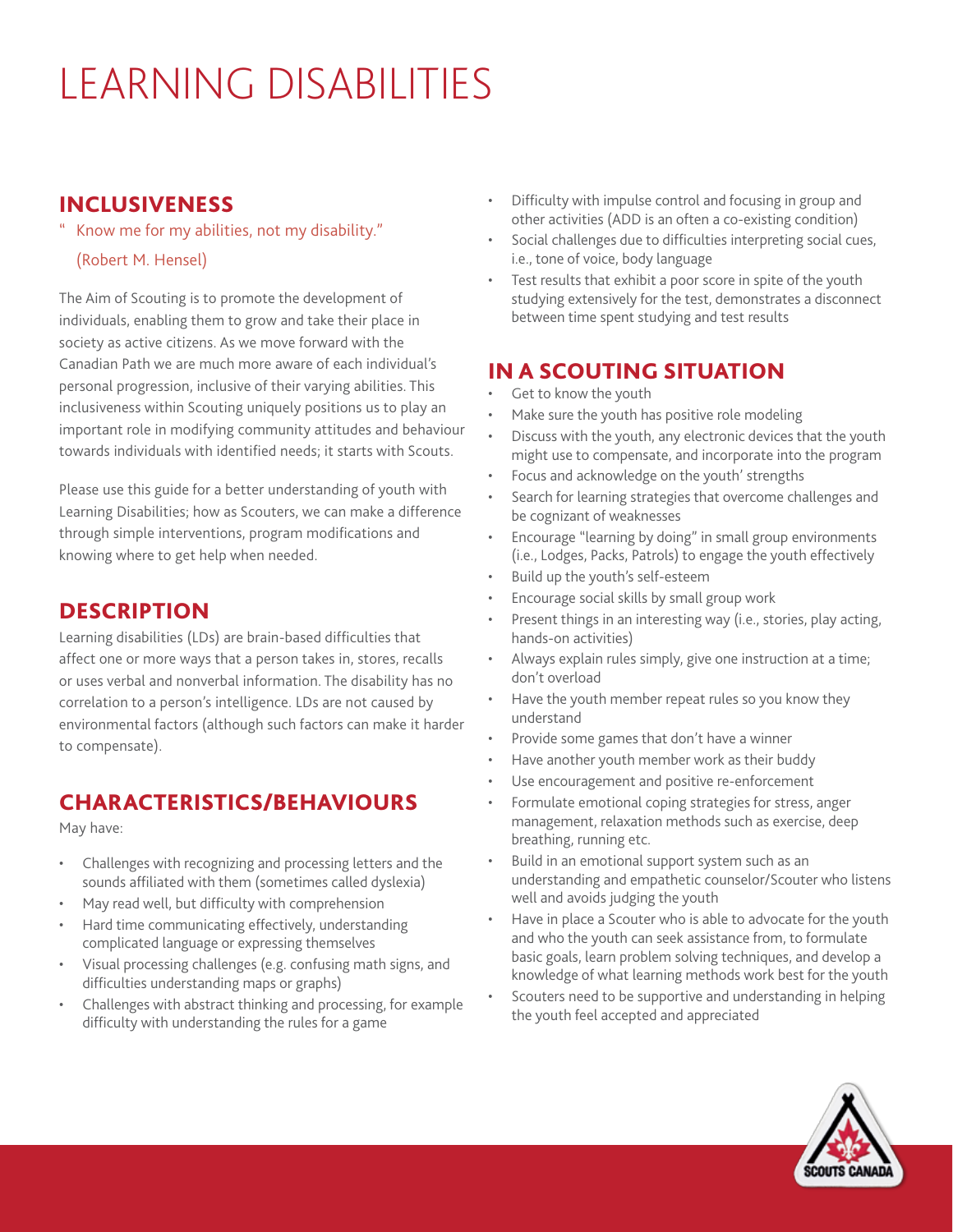# LEARNING DISABILITIES

#### INCLUSIVENESS

Know me for my abilities, not my disability."

#### (Robert M. Hensel)

The Aim of Scouting is to promote the development of individuals, enabling them to grow and take their place in society as active citizens. As we move forward with the Canadian Path we are much more aware of each individual's personal progression, inclusive of their varying abilities. This inclusiveness within Scouting uniquely positions us to play an important role in modifying community attitudes and behaviour towards individuals with identified needs; it starts with Scouts.

Please use this guide for a better understanding of youth with Learning Disabilities; how as Scouters, we can make a difference through simple interventions, program modifications and knowing where to get help when needed.

#### DESCRIPTION

Learning disabilities (LDs) are brain-based difficulties that affect one or more ways that a person takes in, stores, recalls or uses verbal and nonverbal information. The disability has no correlation to a person's intelligence. LDs are not caused by environmental factors (although such factors can make it harder to compensate).

# CHARACTERISTICS/BEHAVIOURS

May have:

- Challenges with recognizing and processing letters and the sounds affiliated with them (sometimes called dyslexia)
- May read well, but difficulty with comprehension
- Hard time communicating effectively, understanding complicated language or expressing themselves
- Visual processing challenges (e.g. confusing math signs, and difficulties understanding maps or graphs)
- Challenges with abstract thinking and processing, for example difficulty with understanding the rules for a game
- Difficulty with impulse control and focusing in group and other activities (ADD is an often a co-existing condition)
- Social challenges due to difficulties interpreting social cues, i.e., tone of voice, body language
- Test results that exhibit a poor score in spite of the youth studying extensively for the test, demonstrates a disconnect between time spent studying and test results

# IN A SCOUTING SITUATION

- Get to know the youth
- Make sure the youth has positive role modeling
- Discuss with the youth, any electronic devices that the youth might use to compensate, and incorporate into the program
- Focus and acknowledge on the youth' strengths
- Search for learning strategies that overcome challenges and be cognizant of weaknesses
- Encourage "learning by doing" in small group environments (i.e., Lodges, Packs, Patrols) to engage the youth effectively
- Build up the youth's self-esteem
- Encourage social skills by small group work
- Present things in an interesting way (i.e., stories, play acting, hands-on activities)
- Always explain rules simply, give one instruction at a time; don't overload
- Have the youth member repeat rules so you know they understand
- Provide some games that don't have a winner
- Have another youth member work as their buddy
- Use encouragement and positive re-enforcement
- Formulate emotional coping strategies for stress, anger management, relaxation methods such as exercise, deep breathing, running etc.
- Build in an emotional support system such as an understanding and empathetic counselor/Scouter who listens well and avoids judging the youth
- Have in place a Scouter who is able to advocate for the youth and who the youth can seek assistance from, to formulate basic goals, learn problem solving techniques, and develop a knowledge of what learning methods work best for the youth
- Scouters need to be supportive and understanding in helping the youth feel accepted and appreciated